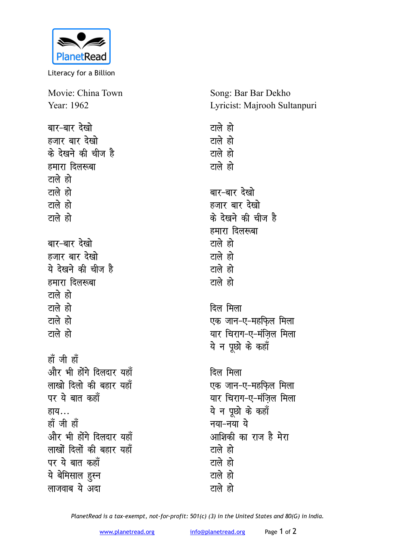

Literacy for a Billion

Movie: China Town Year: 1962 बार-बार देखो हजार बार देखो के देखने की चीज है हमारा दिलरूबा टाले हो टाले हो टाले हो टाले हो बार-बार देखो हजार बार देखो ये देखने की चीज है हमारा दिलरूबा टाले हो टाले हो टाले हो टाले हो हाँ जी हाँ और भी होंगे दिलदार यहाँ लाखो दिलो की बहार यहाँ पर ये बात कहाँ हाय… हाँ जी हाँ और भी होंगे दिलदार यहाँ लाखों दिलों की बहार यहाँ

पर ये बात कहाँ ये बेमिसाल हुस्न लाजवाब ये अदा

Song: Bar Bar Dekho Lyricist: Majrooh Sultanpuri

टाले हो टाले हो टाले हो टाले हो बार-बार देखो हजार बार देखो के देखने की चीज है हमारा दिलरूबा टाले हो टाले हो टाले हो टाले हो दिल मिला एक जान-ए-महफिल मिला यार चिराग-ए-मंजिल मिला ये न पूछो के कहाँ दिल मिला एक जान-ए-महफिल मिला यार चिराग-ए-मंजिल मिला ये न पछो के कहाँ नया-नया ये आशिकी का राज है मेरा टाले हो टाले हो टाले हो टाले हो

PlanetRead is a tax-exempt, not-for-profit: 501(c) (3) in the United States and 80(G) in India.